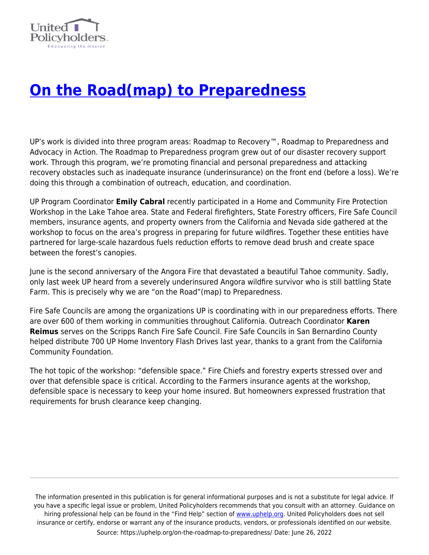

## **[On the Road\(map\) to Preparedness](https://uphelp.org/on-the-roadmap-to-preparedness/)**

UP's work is divided into three program areas: Roadmap to Recovery™, Roadmap to Preparedness and Advocacy in Action. The Roadmap to Preparedness program grew out of our disaster recovery support work. Through this program, we're promoting financial and personal preparedness and attacking recovery obstacles such as inadequate insurance (underinsurance) on the front end (before a loss). We're doing this through a combination of outreach, education, and coordination.

UP Program Coordinator **Emily Cabral** recently participated in a Home and Community Fire Protection Workshop in the Lake Tahoe area. State and Federal firefighters, State Forestry officers, Fire Safe Council members, insurance agents, and property owners from the California and Nevada side gathered at the workshop to focus on the area's progress in preparing for future wildfires. Together these entities have partnered for large-scale hazardous fuels reduction efforts to remove dead brush and create space between the forest's canopies.

June is the second anniversary of the Angora Fire that devastated a beautiful Tahoe community. Sadly, only last week UP heard from a severely underinsured Angora wildfire survivor who is still battling State Farm. This is precisely why we are "on the Road"(map) to Preparedness.

Fire Safe Councils are among the organizations UP is coordinating with in our preparedness efforts. There are over 600 of them working in communities throughout California. Outreach Coordinator **Karen Reimus** serves on the Scripps Ranch Fire Safe Council. Fire Safe Councils in San Bernardino County helped distribute 700 UP Home Inventory Flash Drives last year, thanks to a grant from the California Community Foundation.

The hot topic of the workshop: "defensible space." Fire Chiefs and forestry experts stressed over and over that defensible space is critical. According to the Farmers insurance agents at the workshop, defensible space is necessary to keep your home insured. But homeowners expressed frustration that requirements for brush clearance keep changing.

The information presented in this publication is for general informational purposes and is not a substitute for legal advice. If you have a specific legal issue or problem, United Policyholders recommends that you consult with an attorney. Guidance on hiring professional help can be found in the "Find Help" section of [www.uphelp.org.](http://www.uphelp.org/) United Policyholders does not sell insurance or certify, endorse or warrant any of the insurance products, vendors, or professionals identified on our website. Source: https://uphelp.org/on-the-roadmap-to-preparedness/ Date: June 26, 2022